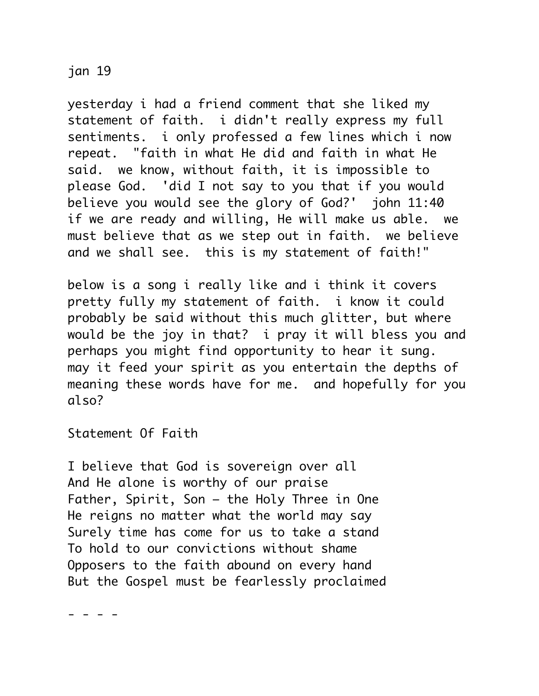jan 19

yesterday i had a friend comment that she liked my statement of faith. i didn't really express my full sentiments. i only professed a few lines which i now repeat. "faith in what He did and faith in what He said. we know, without faith, it is impossible to please God. 'did I not say to you that if you would believe you would see the glory of God?' john 11:40 if we are ready and willing, He will make us able. we must believe that as we step out in faith. we believe and we shall see. this is my statement of faith!"

below is a song i really like and i think it covers pretty fully my statement of faith. i know it could probably be said without this much glitter, but where would be the joy in that? i pray it will bless you and perhaps you might find opportunity to hear it sung. may it feed your spirit as you entertain the depths of meaning these words have for me. and hopefully for you also?

Statement Of Faith

I believe that God is sovereign over all And He alone is worthy of our praise Father, Spirit, Son – the Holy Three in One He reigns no matter what the world may say Surely time has come for us to take a stand To hold to our convictions without shame Opposers to the faith abound on every hand But the Gospel must be fearlessly proclaimed

- - - -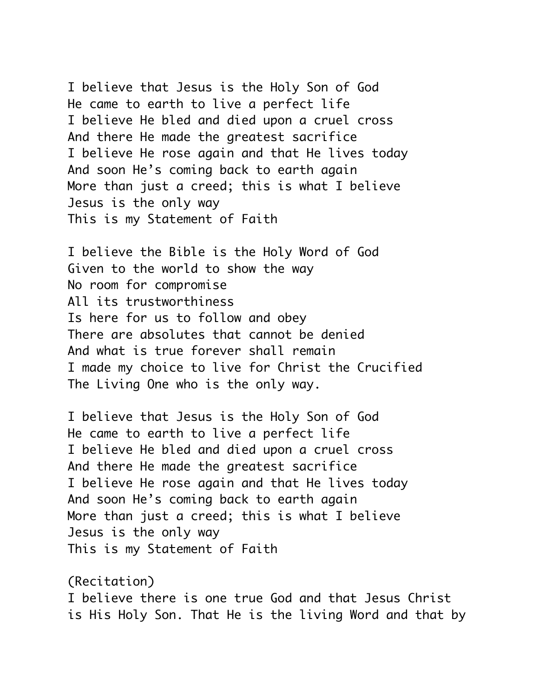I believe that Jesus is the Holy Son of God He came to earth to live a perfect life I believe He bled and died upon a cruel cross And there He made the greatest sacrifice I believe He rose again and that He lives today And soon He's coming back to earth again More than just a creed; this is what I believe Jesus is the only way This is my Statement of Faith

I believe the Bible is the Holy Word of God Given to the world to show the way No room for compromise All its trustworthiness Is here for us to follow and obey There are absolutes that cannot be denied And what is true forever shall remain I made my choice to live for Christ the Crucified The Living One who is the only way.

I believe that Jesus is the Holy Son of God He came to earth to live a perfect life I believe He bled and died upon a cruel cross And there He made the greatest sacrifice I believe He rose again and that He lives today And soon He's coming back to earth again More than just a creed; this is what I believe Jesus is the only way This is my Statement of Faith

(Recitation) I believe there is one true God and that Jesus Christ is His Holy Son. That He is the living Word and that by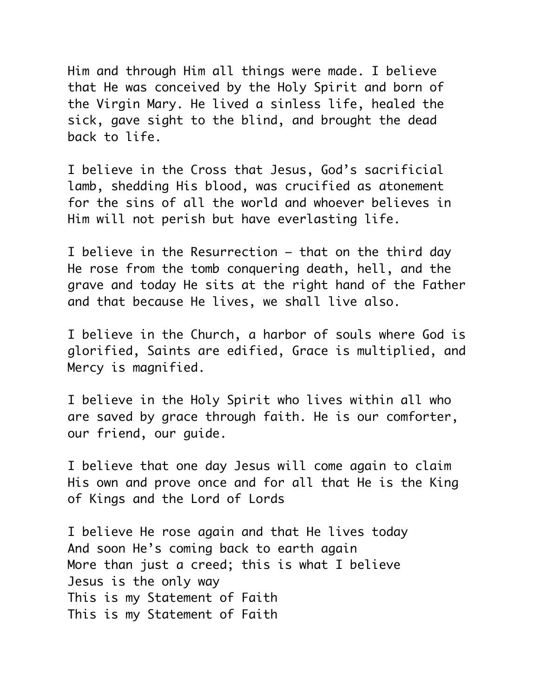Him and through Him all things were made. I believe that He was conceived by the Holy Spirit and born of the Virgin Mary. He lived a sinless life, healed the sick, gave sight to the blind, and brought the dead back to life.

I believe in the Cross that Jesus, God's sacrificial lamb, shedding His blood, was crucified as atonement for the sins of all the world and whoever believes in Him will not perish but have everlasting life.

I believe in the Resurrection – that on the third day He rose from the tomb conquering death, hell, and the grave and today He sits at the right hand of the Father and that because He lives, we shall live also.

I believe in the Church, a harbor of souls where God is glorified, Saints are edified, Grace is multiplied, and Mercy is magnified.

I believe in the Holy Spirit who lives within all who are saved by grace through faith. He is our comforter, our friend, our guide.

I believe that one day Jesus will come again to claim His own and prove once and for all that He is the King of Kings and the Lord of Lords

I believe He rose again and that He lives today And soon He's coming back to earth again More than just a creed; this is what I believe Jesus is the only way This is my Statement of Faith This is my Statement of Faith